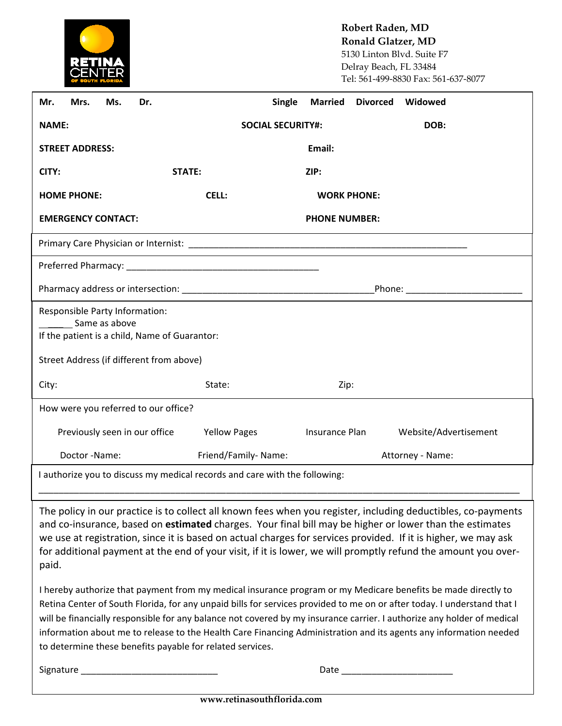

**Robert Raden, MD Ronald Glatzer, MD** 5130 Linton Blvd. Suite F7 Delray Beach, FL 33484 Tel: 561-499-8830 Fax: 561-637-8077

| Mrs.<br>Ms.<br>Dr.<br>Mr.                                                                                                                                                                                                                                                                                                                                                                                                                                                                                                                            | Single                           | <b>Married</b><br><b>Divorced</b> | Widowed                         |  |  |
|------------------------------------------------------------------------------------------------------------------------------------------------------------------------------------------------------------------------------------------------------------------------------------------------------------------------------------------------------------------------------------------------------------------------------------------------------------------------------------------------------------------------------------------------------|----------------------------------|-----------------------------------|---------------------------------|--|--|
| <b>NAME:</b>                                                                                                                                                                                                                                                                                                                                                                                                                                                                                                                                         | DOB:<br><b>SOCIAL SECURITY#:</b> |                                   |                                 |  |  |
| <b>STREET ADDRESS:</b>                                                                                                                                                                                                                                                                                                                                                                                                                                                                                                                               |                                  | Email:                            |                                 |  |  |
| <b>STATE:</b><br>CITY:                                                                                                                                                                                                                                                                                                                                                                                                                                                                                                                               |                                  | ZIP:                              |                                 |  |  |
| <b>HOME PHONE:</b>                                                                                                                                                                                                                                                                                                                                                                                                                                                                                                                                   | <b>CELL:</b>                     | <b>WORK PHONE:</b>                |                                 |  |  |
| <b>EMERGENCY CONTACT:</b>                                                                                                                                                                                                                                                                                                                                                                                                                                                                                                                            |                                  | <b>PHONE NUMBER:</b>              |                                 |  |  |
|                                                                                                                                                                                                                                                                                                                                                                                                                                                                                                                                                      |                                  |                                   |                                 |  |  |
|                                                                                                                                                                                                                                                                                                                                                                                                                                                                                                                                                      |                                  |                                   |                                 |  |  |
|                                                                                                                                                                                                                                                                                                                                                                                                                                                                                                                                                      |                                  |                                   | Phone: ________________________ |  |  |
| Responsible Party Information:<br>Same as above                                                                                                                                                                                                                                                                                                                                                                                                                                                                                                      |                                  |                                   |                                 |  |  |
| If the patient is a child, Name of Guarantor:                                                                                                                                                                                                                                                                                                                                                                                                                                                                                                        |                                  |                                   |                                 |  |  |
| Street Address (if different from above)                                                                                                                                                                                                                                                                                                                                                                                                                                                                                                             |                                  |                                   |                                 |  |  |
| City:                                                                                                                                                                                                                                                                                                                                                                                                                                                                                                                                                | State:                           | Zip:                              |                                 |  |  |
| How were you referred to our office?                                                                                                                                                                                                                                                                                                                                                                                                                                                                                                                 |                                  |                                   |                                 |  |  |
| Previously seen in our office                                                                                                                                                                                                                                                                                                                                                                                                                                                                                                                        | <b>Yellow Pages</b>              | Insurance Plan                    | Website/Advertisement           |  |  |
| Doctor-Name:                                                                                                                                                                                                                                                                                                                                                                                                                                                                                                                                         | Friend/Family-Name:              |                                   | Attorney - Name:                |  |  |
| I authorize you to discuss my medical records and care with the following:                                                                                                                                                                                                                                                                                                                                                                                                                                                                           |                                  |                                   |                                 |  |  |
| The policy in our practice is to collect all known fees when you register, including deductibles, co-payments<br>and co-insurance, based on estimated charges. Your final bill may be higher or lower than the estimates<br>we use at registration, since it is based on actual charges for services provided. If it is higher, we may ask<br>for additional payment at the end of your visit, if it is lower, we will promptly refund the amount you over-<br>paid.                                                                                 |                                  |                                   |                                 |  |  |
| I hereby authorize that payment from my medical insurance program or my Medicare benefits be made directly to<br>Retina Center of South Florida, for any unpaid bills for services provided to me on or after today. I understand that I<br>will be financially responsible for any balance not covered by my insurance carrier. I authorize any holder of medical<br>information about me to release to the Health Care Financing Administration and its agents any information needed<br>to determine these benefits payable for related services. |                                  |                                   |                                 |  |  |

Signature \_\_\_\_\_\_\_\_\_\_\_\_\_\_\_\_\_\_\_\_\_\_\_\_\_\_\_ Date \_\_\_\_\_\_\_\_\_\_\_\_\_\_\_\_\_\_\_\_\_\_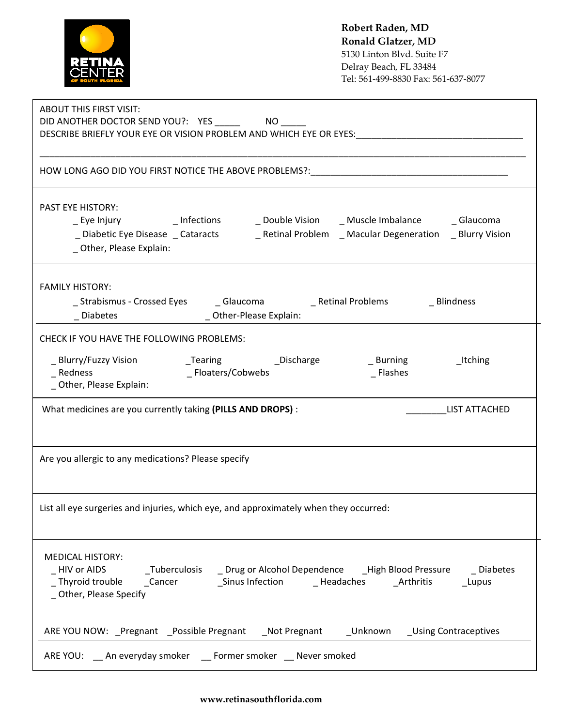|                                                                                                                                                                      | Robert Raden, MD<br>Ronald Glatzer, MD<br>5130 Linton Blvd. Suite F7<br>Delray Beach, FL 33484<br>Tel: 561-499-8830 Fax: 561-637-8077 |
|----------------------------------------------------------------------------------------------------------------------------------------------------------------------|---------------------------------------------------------------------------------------------------------------------------------------|
| <b>ABOUT THIS FIRST VISIT:</b><br>DESCRIBE BRIEFLY YOUR EYE OR VISION PROBLEM AND WHICH EYE OR EYES:                                                                 |                                                                                                                                       |
| HOW LONG AGO DID YOU FIRST NOTICE THE ABOVE PROBLEMS?:                                                                                                               |                                                                                                                                       |
| <b>PAST EYE HISTORY:</b><br>_Eye Injury       _ Infections     _ Double Vision    _ Muscle Imbalance    _ Glaucoma<br>_ Other, Please Explain:                       |                                                                                                                                       |
| <b>FAMILY HISTORY:</b><br>_Strabismus - Crossed Eyes ________ Glaucoma _______________ Retinal Problems<br>_Diabetes __________________________Other-Please Explain: | _ Blindness                                                                                                                           |
| CHECK IF YOU HAVE THE FOLLOWING PROBLEMS:<br>_ Floaters/Cobwebs<br>Redness<br>_ Other, Please Explain:                                                               | _ Burning<br>_Itching<br>_ Flashes                                                                                                    |
| What medicines are you currently taking (PILLS AND DROPS) :                                                                                                          | <b>LIST ATTACHED</b>                                                                                                                  |
| Are you allergic to any medications? Please specify                                                                                                                  |                                                                                                                                       |
| List all eye surgeries and injuries, which eye, and approximately when they occurred:                                                                                |                                                                                                                                       |
| <b>MEDICAL HISTORY:</b><br>_ Other, Please Specify                                                                                                                   |                                                                                                                                       |
| ARE YOU NOW: _Pregnant _Possible Pregnant _Not Pregnant __Unknown _Using Contraceptives                                                                              |                                                                                                                                       |
| ARE YOU: An everyday smoker __ Former smoker __ Never smoked                                                                                                         |                                                                                                                                       |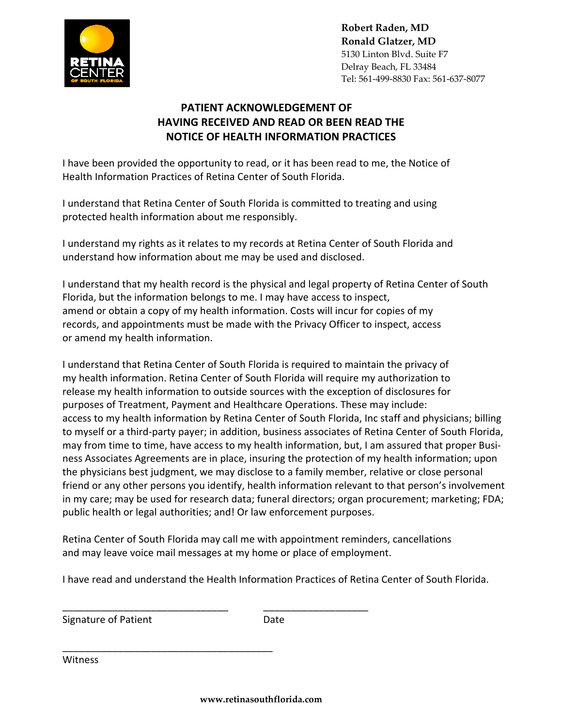

**Robert Raden, MD Ronald Glatzer, MD** 5130 Linton Blvd. Suite F7 Delray Beach, FL 33484 Tel: 561-499-8830 Fax: 561-637-8077

## **PATIENT ACKNOWLEDGEMENT OF HAVING RECEIVED AND READ OR BEEN READ THE NOTICE OF HEALTH INFORMATION PRACTICES**

I have been provided the opportunity to read, or it has been read to me, the Notice of Health Information Practices of Retina Center of South Florida.

I understand that Retina Center of South Florida is committed to treating and using protected health information about me responsibly.

I understand my rights as it relates to my records at Retina Center of South Florida and understand how information about me may be used and disclosed.

I understand that my health record is the physical and legal property of Retina Center of South Florida, but the information belongs to me. I may have access to inspect, amend or obtain a copy of my health information. Costs will incur for copies of my records, and appointments must be made with the Privacy Officer to inspect, access or amend my health information.

I understand that Retina Center of South Florida is required to maintain the privacy of my health information. Retina Center of South Florida will require my authorization to release my health information to outside sources with the exception of disclosures for purposes of Treatment, Payment and Healthcare Operations. These may include: access to my health information by Retina Center of South Florida, Inc staff and physicians; billing to myself or a third-party payer; in addition, business associates of Retina Center of South Florida, may from time to time, have access to my health information, but, I am assured that proper Business Associates Agreements are in place, insuring the protection of my health information; upon the physicians best judgment, we may disclose to a family member, relative or close personal friend or any other persons you identify, health information relevant to that person's involvement in my care; may be used for research data; funeral directors; organ procurement; marketing; FDA; public health or legal authorities; and! Or law enforcement purposes.

Retina Center of South Florida may call me with appointment reminders, cancellations and may leave voice mail messages at my home or place of employment.

\_\_\_\_\_\_\_\_\_\_\_\_\_\_\_\_\_\_\_\_\_\_\_\_\_\_\_\_\_\_ \_\_\_\_\_\_\_\_\_\_\_\_\_\_\_\_\_\_\_

I have read and understand the Health Information Practices of Retina Center of South Florida.

Signature of Patient **Date** Date

Witness